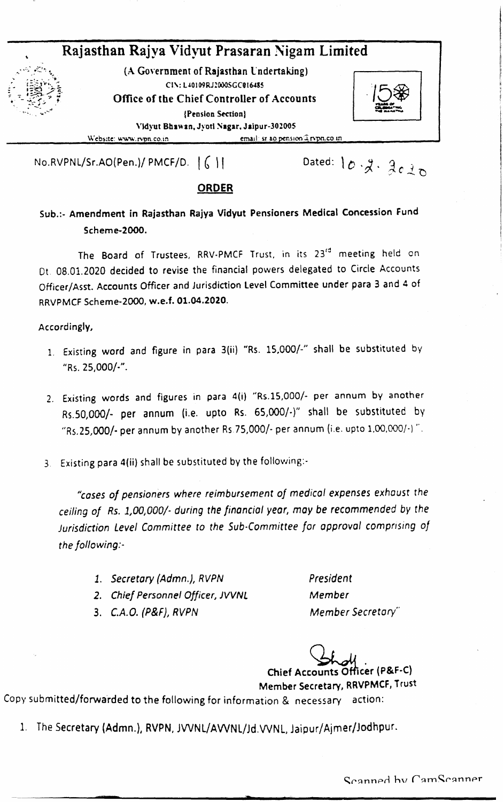

No.RVPNL/Sr.AO(Pen.)/ PMCF/D.  $\left[\begin{array}{c} 0 \end{array}\right]$ 

Dated:  $10 \cdot \cancel{3} \cdot \cancel{3} \cdot \cancel{2} \cdot \cancel{0}$ 

### ORDER

Sub.:- Amendment in Rajasthan Rajya Vidyut Pensioners Medical Concession Fund Scheme-2000.

The Board of Trustees, RRV-PMCF Trust, in its 23<sup>ra</sup> meeting held on Dt. 08.01.2020 decided to revise the financial powers delegated to Circle Accounts Officer/Asst. Accounts Officer and Jurisdiction Level Committee under para 3 and 4 of RRVPMCF Scheme-2000, w.e.f. 01.04.2020.

Accordingly,

- 1. Existing word and figure in para 3(ii) "Rs. 1S,000/-" shall be substituted by  $"Rs. 25,000/-'$ .
- 2. Existing words and figures in para 4(i) "Rs.15,000/- per annum by another Rs.50,OOO/- per annum (i.e. upto Rs. 65,000/-)" shall be substituted by "Rs.25,000/- per annum by another Rs.75,000/- per annum (i.e. upto 1,00,000/-)".
- 3. Existing para 4(ii) shall be substituted by the following:-

*"cases of pensioners where reimbursement of medical expenses exhaust the ceiling of Rs. 1,001000/- during the financial year, may be recommended by the Jurisdiction* Level Committee to the Sub-Committee for approval comprising of *the following:-*

- *1. Secretary (Admn.), RVPN*
- *2. Chief Personnel Officer, JVVNL*
- *3. C.A.O. (P&F), RVPN*

*President Member Member Secretary"*

Chief Accounts Officer (P&F-C)

Member Secretary, RRVPMCF, Trust

Copy submitted/forwarded to the following for information & necessary action:

1. The Secretary (Admn.), RVPN, JVVNL/AVVNL/Jd.VVNL, Jaipur/Ajmer/Jodhpur.

Scanned hy CamScanner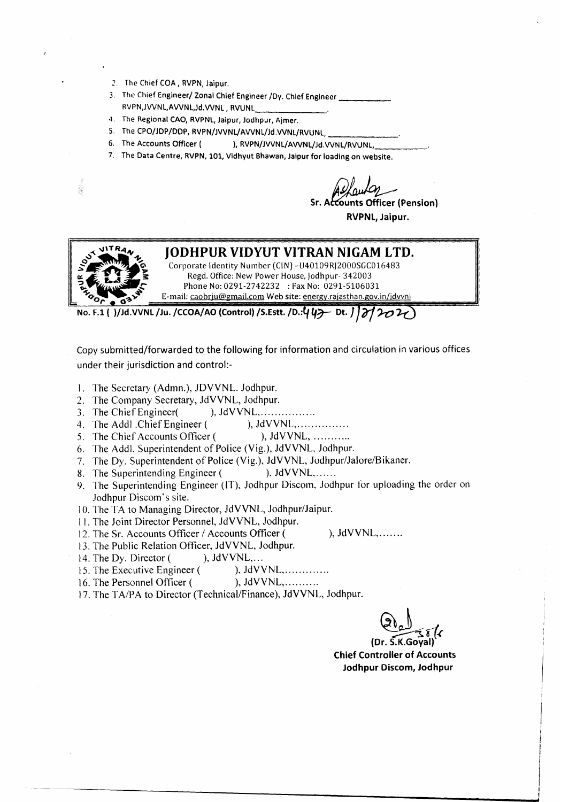- 2. The Chief COA, RVPN, Jaipur.
- 3. The Chief Engineer/ Zonal Chief Engineer *JOy.* Chief Engineer ---- RVPN,JWNL,AWNL,Jd.WNL, RVUNL \_
- 4. The Regional CAO, RVPNL, Jalpur, Jodhpur, Ajmer.
- 5. The CPO/JDP/DDP, RVPN/JVVNL/AVVNL/Jd.VVNL/RVUNL,
- 4. The Regional CAO, RVPNL, Jaipur, Jodhpur, Ajmer.<br>5. The CPO/JDP/DDP, RVPN/JVVNL/AVVNL/Jd.VVNL/RVUNL, \_\_\_\_\_\_\_\_\_\_\_\_\_\_\_\_\_\_\_\_\_\_\_\_\_<br>6. The Accounts Officer ( ), RVPN/JVVNL/AVVNL/Jd.VVNL/RVUNL, 5. The CPO/JDP/DDP, RVPN/JVVNL/AVVNL/Jd.VVNL/RVUNL, \_\_\_\_\_\_\_\_\_\_\_\_\_\_\_\_\_\_\_\_\_\_\_\_\_<br>6. The Accounts Officer ( ), RVPN/JVVNL/AVVNL/Jd.VVNL/RVUNL, \_\_\_\_\_\_\_\_\_\_\_\_\_\_\_\_\_\_\_\_<br>7. The Data Centre, RVPN, 101, Vidhyut
- 

nts Officer (Pension) RVPNl, Jaipur.



i.

### **JODHPUR VIDYUT VITRAN NIGAM LTD.**

Corporate Identity Number (CIN) - U40109RJ2000SGC016483 Regd. Office: New Power House, Jodhpur-342003 Phone No: 0291-2742232 : Fax No: 0291-5106031 E-mail: caobrju@gmail.com Web site: energy.rajasthan.gov.in/jdvvnl

No. F.l ( )/Jd.VVNl /Ju. /CCOA/AO (Control) /S.Estt. /D.:~ *4r-* Dt. *<sup>J</sup> <sup>J</sup> iY/?-o* 1-()

Copy submitted/forwarded to the following for information and circulation in various offices under their jurisdiction and control:-

- 1. The Secretary (Admn.), JOVVNL. Jodhpur.
- 2. The Company Secretary, JdVVNL, Jodhpur.
- 3. The Chief Engineer $($ ,  $)$ , JdVVNL, ... ... ... ...
- 4. The Addl Chief Engineer (), JdVVNL, ... ... ... ...
- 5. The Chief Accounts Officer ( ), JdVVNL, ...........
- 6. The Addl. Superintendent of Police (Vig.), JdVVNL, Jodhpur.
- 7. The Dy. Superintendent of Police (Vig.), JdVVNL, Jodhpur/Jalore/Bikaner.
- 8. The Superintending Engineer ( ), JdVVNL, ......
- 9. The Superintending Engineer (IT), Jodhpur Discom, Jodhpur for uploading the order on Jodhpur Discom's site.
- 10. The TA to Managing Director, JdVVNL, Jodhpur/Jaipur.
- 11. The Joint Director Personnel, JdVVNL, Jodhpur.
- 12. The Sr. Accounts Officer / Accounts Officer ( ), JdVVNL,.......
- 13. The Public Relation Officer, JdVVNL, Jodhpur.
- 14. The Dy. Director ( ), JdVVNL,...
- 15. The Executive Engineer ( ), JdVVNL, ... ... ... ...
- 16. The Personnel Officer ( ), JdVVNL, ... ... ...
- 17. The *TAlPA* to Director (Technical/Finance), JdVVNL, Jodhpur.

**6 كيليمبر**<br>(Dr. S.K.Goyal)

Chief Controller of Accounts Jodhpur Discom, Jodhpur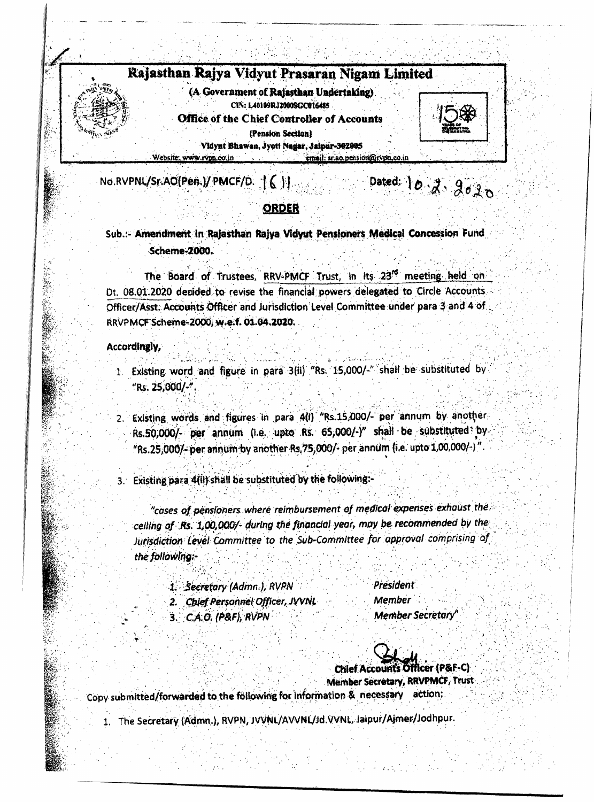# Rajasthan Rajya Vidyut Prasaran Nigam Limited

(A Government of Rajasthan Undertaking) CIN: L40109RJ2000SGC016485 **Office of the Chief Controller of Accounts** (Pension Section) Vidynt Bhawan, Jyoti Nagar, Jaipur-302005 Website: www.rvpn.co.in email: sr.ao.pension@rvpn.co.i



Dated: 10  $3.9020$ 

No.RVPNL/Sr.AO(Pen.)/ PMCF/D. T 6 11

## ORDER

Sub.:- Amendment in Rajasthan Rajya Vidyut Pensioners Medical Concession Fund **Scheme-2000.** 

The Board of Trustees, RRV-PMCF Trust, in its 23<sup>rd</sup> meeting held on Dt. 08.01.2020 decided to revise the financial powers delegated to Circle Accounts. Officer/Asst: Accounts Officer and Jurisdiction Level Committee under para 3 and 4 of RRVPMCF Scheme-2000, w.e.f. 01.04.2020.

#### Accordingly,

- 1. Existing word and figure in para 3(ii) "Rs. 15,000/-" shall be substituted by "Rs. 25,000/-".
- 2. Existing words and figures in para 4(i) "Rs.15,000/- per annum by another Rs.50,000/- per annum (i.e. upto Rs. 65,000/-)" shall be substituted by "Rs.25,000/- per annum by another Rs.75,000/- per annum (i.e. upto 1,00,000/-)"
- 3. Existing para 4(ii) shall be substituted by the following:-

"cases of pensioners where reimbursement of medical expenses exhaust the celling of Rs. 1,00,000/- during the financial year, may be recommended by the Jurisdiction Level Committee to the Sub-Committee for approval comprising of the following:-

1. Secretary (Admn.), RVPN

2. Chief Personnel Officer, JVVNL

President Member Member Secretary"

3. C.A.O. (P&F), RVPN

ficer (P&F-C) **Chief Accounts** Member Secretary, RRVPMCF, Trust

Copy submitted/forwarded to the following for information & necessary action;

1. The Secretary (Admn.), RVPN, JVVNL/AVVNL/Jd. VVNL, Jaipur/Ajmer/Jodhpur.